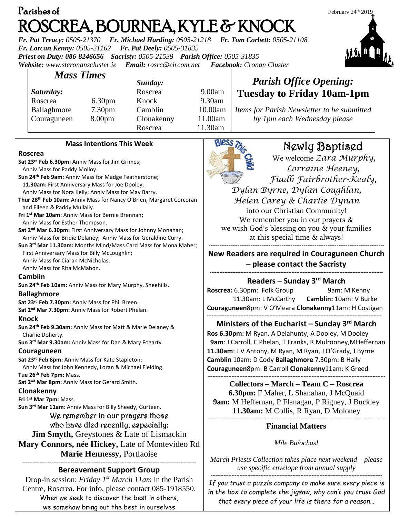| Parishes of                                                                                                   |                                  |                                                            |         | February 24th 2019                                          |  |  |
|---------------------------------------------------------------------------------------------------------------|----------------------------------|------------------------------------------------------------|---------|-------------------------------------------------------------|--|--|
|                                                                                                               |                                  | ROSCREA, BOURNEA, KYLE & KNOCK                             |         |                                                             |  |  |
|                                                                                                               |                                  | Fr. Pat Treacy: 0505-21370 Fr. Michael Harding: 0505-21218 |         | Fr. Tom Corbett: 0505-21108                                 |  |  |
| Fr. Lorcan Kenny: 0505-21162                                                                                  |                                  | Fr. Pat Deely: 0505-31835                                  |         |                                                             |  |  |
| Priest on Duty: 086-8246656                                                                                   |                                  | Sacristy: 0505-21539  Parish Office: 0505-31835            |         |                                                             |  |  |
| Website: www.stcronanscluster.ie                                                                              |                                  | Email: rosrc@eircom.net                                    |         | Facebook: Cronan Cluster                                    |  |  |
| <b>Mass Times</b>                                                                                             |                                  |                                                            |         |                                                             |  |  |
|                                                                                                               |                                  | Sunday:                                                    |         | <b>Parish Office Opening:</b>                               |  |  |
| Saturday:                                                                                                     |                                  | Roscrea                                                    | 9.00am  | <b>Tuesday to Friday 10am-1pm</b>                           |  |  |
| Roscrea                                                                                                       | 6.30 <sub>pm</sub>               | Knock                                                      | 9.30am  |                                                             |  |  |
| Ballaghmore                                                                                                   | 7.30pm                           | Camblin                                                    | 10.00am | Items for Parish Newsletter to be submitted                 |  |  |
| Couraguneen                                                                                                   | 8.00pm                           | Clonakenny                                                 | 11.00am | by 1pm each Wednesday please                                |  |  |
|                                                                                                               |                                  | Roscrea                                                    | 11.30am |                                                             |  |  |
|                                                                                                               | <b>Mass Intentions This Week</b> |                                                            |         |                                                             |  |  |
| <b>Roscrea</b>                                                                                                |                                  |                                                            |         | Newly Baptised                                              |  |  |
| Sat 23rd Feb 6.30pm: Anniv Mass for Jim Grimes;                                                               |                                  |                                                            |         | We welcome Zara Murphy,                                     |  |  |
| Anniv Mass for Paddy Molloy.                                                                                  |                                  |                                                            |         | Lorraine Heeney,                                            |  |  |
| Sun 24 <sup>th</sup> Feb 9am: Anniv Mass for Madge Featherstone;                                              |                                  |                                                            |         | Fiadh Fairbrother-Kealy,                                    |  |  |
| 11.30am: First Anniversary Mass for Joe Dooley;<br>Anniv Mass for Nora Kelly; Anniv Mass for May Barry.       |                                  |                                                            |         | Dylan Byrne, Dylan Coughlan,                                |  |  |
| Thur 28 <sup>th</sup> Feb 10am: Anniv Mass for Nancy O'Brien, Margaret Corcoran                               |                                  |                                                            |         | Helen Carey & Charlie Dynan                                 |  |  |
| and Eileen & Paddy Mullally.                                                                                  |                                  |                                                            |         | into our Christian Community!                               |  |  |
| Fri 1st Mar 10am: Anniv Mass for Bernie Brennan;                                                              |                                  |                                                            |         | We remember you in our prayers &                            |  |  |
| Anniv Mass for Esther Thompson.<br>Sat 2 <sup>nd</sup> Mar 6.30pm: First Anniversary Mass for Johnny Monahan; |                                  |                                                            |         | we wish God's blessing on you & your families               |  |  |
| Anniv Mass for Bridie Delaney; Anniv Mass for Geraldine Curry.                                                |                                  |                                                            |         | at this special time & always!                              |  |  |
| Sun 3rd Mar 11.30am: Months Mind/Mass Card Mass for Mona Maher;                                               |                                  |                                                            |         |                                                             |  |  |
| First Anniversary Mass for Billy McLoughlin;                                                                  |                                  |                                                            |         | New Readers are required in Couraguneen Church              |  |  |
| Anniv Mass for Ciaran McNicholas;<br>Anniv Mass for Rita McMahon.                                             |                                  |                                                            |         | - please contact the Sacristy                               |  |  |
| Camblin                                                                                                       |                                  |                                                            |         |                                                             |  |  |
| Sun 24 <sup>th</sup> Feb 10am: Anniv Mass for Mary Murphy, Sheehills.                                         |                                  |                                                            |         | Readers - Sunday 3rd March                                  |  |  |
| <b>Ballaghmore</b>                                                                                            |                                  |                                                            |         | Roscrea: 6.30pm: Folk Group<br>9am: M Kenny                 |  |  |
| Sat 23rd Feb 7.30pm: Anniv Mass for Phil Breen.                                                               |                                  |                                                            |         | 11.30am: L McCarthy<br>Camblin: 10am: V Burke               |  |  |
| Sat 2 <sup>nd</sup> Mar 7.30pm: Anniv Mass for Robert Phelan.                                                 |                                  |                                                            |         | Couraguneen8pm: V O'Meara Clonakenny11am: H Costigan        |  |  |
| <b>Knock</b>                                                                                                  |                                  |                                                            |         | Ministers of the Eucharist – Sunday $3rd$ March             |  |  |
| Sun 24th Feb 9.30am: Anniv Mass for Matt & Marie Delaney &<br>Charlie Doherty.                                |                                  |                                                            |         | Ros 6.30pm: M Ryan, A Delahunty, A Dooley, M Dooley         |  |  |
| Sun 3rd Mar 9.30am: Anniv Mass for Dan & Mary Fogarty.                                                        |                                  |                                                            |         | 9am: J Carroll, C Phelan, T Franks, R Mulrooney, MHeffernan |  |  |
| Couraguneen                                                                                                   |                                  |                                                            |         | 11.30am: J V Antony, M Ryan, M Ryan, J O'Grady, J Byrne     |  |  |
| Sat 23rd Feb 8pm: Anniv Mass for Kate Stapleton;                                                              |                                  |                                                            |         | Camblin 10am: D Cody Ballaghmore 7.30pm: B Hally            |  |  |
| Anniv Mass for John Kennedy, Loran & Michael Fielding.                                                        |                                  |                                                            |         | Couraguneen8pm: B Carroll Clonakenny11am: K Greed           |  |  |
| Tue 26th Feb 7pm: Mass.<br>Sat 2 <sup>nd</sup> Mar 8pm: Anniv Mass for Gerard Smith.                          |                                  |                                                            |         |                                                             |  |  |
| Clonakenny                                                                                                    |                                  |                                                            |         | Collectors – March – Team C – Roscrea                       |  |  |
| Fri 1st Mar 7pm: Mass.                                                                                        |                                  |                                                            |         | 6.30pm: F Maher, L Shanahan, J McQuaid                      |  |  |
| Sun 3rd Mar 11am: Anniv Mass for Billy Sheedy, Gurteen.                                                       |                                  |                                                            |         | 9am: M Heffernan, P Flanagan, P Rigney, J Buckley           |  |  |
| We remember in our prayers those                                                                              |                                  |                                                            |         | 11.30am: M Collis, R Ryan, D Moloney                        |  |  |
| who have died recently, especially:                                                                           |                                  |                                                            |         | <b>Financial Matters</b>                                    |  |  |
| <b>Jim Smyth, Greystones &amp; Late of Lismackin</b>                                                          |                                  |                                                            |         |                                                             |  |  |
| Mary Connors, née Hickey, Late of Montevideo Rd                                                               |                                  |                                                            |         | Míle Buíochas!                                              |  |  |
| Marie Hennessy, Portlaoise                                                                                    |                                  |                                                            |         |                                                             |  |  |
|                                                                                                               |                                  |                                                            |         | March Priests Collection takes place next weekend - please  |  |  |
| <b>Bereavement Support Group</b>                                                                              |                                  |                                                            |         | use specific envelope from annual supply                    |  |  |
| Drop-in session: Friday $I^{st}$ March 11am in the Parish                                                     |                                  |                                                            |         | If you trust a puzzle company to make sure every piece is   |  |  |
| Centre, Roscrea. For info, please contact 085-1918550.                                                        |                                  |                                                            |         | in the boy to complete the ijogaw why can't you tough God   |  |  |

When we seek to discover the best in others, we somehow bring out the best in ourselves

*If you trust a puzzle company to make sure every piece is in the box to complete the jigsaw, why can't you trust God that every piece of your life is there for a reason…*